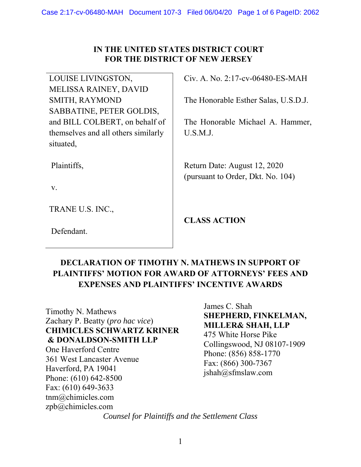## **IN THE UNITED STATES DISTRICT COURT FOR THE DISTRICT OF NEW JERSEY**

LOUISE LIVINGSTON, MELISSA RAINEY, DAVID SMITH, RAYMOND SABBATINE, PETER GOLDIS, and BILL COLBERT, on behalf of themselves and all others similarly situated,

Plaintiffs,

v.

TRANE U.S. INC.,

Defendant.

Civ. A. No. 2:17-cv-06480-ES-MAH

The Honorable Esther Salas, U.S.D.J.

The Honorable Michael A. Hammer, U.S.M.J.

Return Date: August 12, 2020 (pursuant to Order, Dkt. No. 104)

**CLASS ACTION** 

## **DECLARATION OF TIMOTHY N. MATHEWS IN SUPPORT OF PLAINTIFFS' MOTION FOR AWARD OF ATTORNEYS' FEES AND EXPENSES AND PLAINTIFFS' INCENTIVE AWARDS**

Timothy N. Mathews Zachary P. Beatty (*pro hac vice*) **CHIMICLES SCHWARTZ KRINER & DONALDSON-SMITH LLP**  One Haverford Centre 361 West Lancaster Avenue Haverford, PA 19041 Phone: (610) 642-8500 Fax: (610) 649-3633 tnm@chimicles.com zpb@chimicles.com

James C. Shah **SHEPHERD, FINKELMAN, MILLER& SHAH, LLP**  475 White Horse Pike Collingswood, NJ 08107-1909 Phone: (856) 858-1770 Fax: (866) 300-7367 jshah@sfmslaw.com

*Counsel for Plaintiffs and the Settlement Class*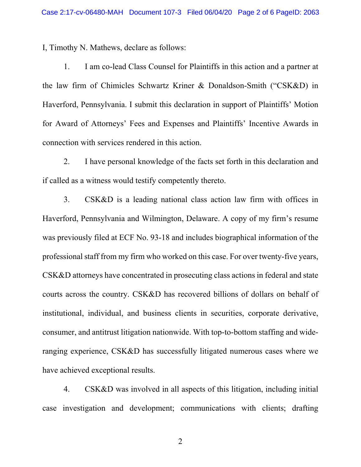I, Timothy N. Mathews, declare as follows:

1. I am co-lead Class Counsel for Plaintiffs in this action and a partner at the law firm of Chimicles Schwartz Kriner & Donaldson-Smith ("CSK&D) in Haverford, Pennsylvania. I submit this declaration in support of Plaintiffs' Motion for Award of Attorneys' Fees and Expenses and Plaintiffs' Incentive Awards in connection with services rendered in this action.

2. I have personal knowledge of the facts set forth in this declaration and if called as a witness would testify competently thereto.

3. CSK&D is a leading national class action law firm with offices in Haverford, Pennsylvania and Wilmington, Delaware. A copy of my firm's resume was previously filed at ECF No. 93-18 and includes biographical information of the professional staff from my firm who worked on this case. For over twenty-five years, CSK&D attorneys have concentrated in prosecuting class actions in federal and state courts across the country. CSK&D has recovered billions of dollars on behalf of institutional, individual, and business clients in securities, corporate derivative, consumer, and antitrust litigation nationwide. With top-to-bottom staffing and wideranging experience, CSK&D has successfully litigated numerous cases where we have achieved exceptional results.

4. CSK&D was involved in all aspects of this litigation, including initial case investigation and development; communications with clients; drafting

2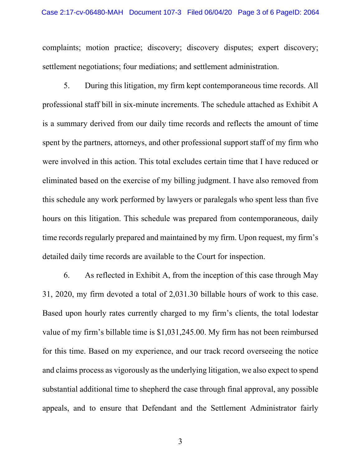complaints; motion practice; discovery; discovery disputes; expert discovery; settlement negotiations; four mediations; and settlement administration.

5. During this litigation, my firm kept contemporaneous time records. All professional staff bill in six-minute increments. The schedule attached as Exhibit A is a summary derived from our daily time records and reflects the amount of time spent by the partners, attorneys, and other professional support staff of my firm who were involved in this action. This total excludes certain time that I have reduced or eliminated based on the exercise of my billing judgment. I have also removed from this schedule any work performed by lawyers or paralegals who spent less than five hours on this litigation. This schedule was prepared from contemporaneous, daily time records regularly prepared and maintained by my firm. Upon request, my firm's detailed daily time records are available to the Court for inspection.

6. As reflected in Exhibit A, from the inception of this case through May 31, 2020, my firm devoted a total of 2,031.30 billable hours of work to this case. Based upon hourly rates currently charged to my firm's clients, the total lodestar value of my firm's billable time is \$1,031,245.00. My firm has not been reimbursed for this time. Based on my experience, and our track record overseeing the notice and claims process as vigorously as the underlying litigation, we also expect to spend substantial additional time to shepherd the case through final approval, any possible appeals, and to ensure that Defendant and the Settlement Administrator fairly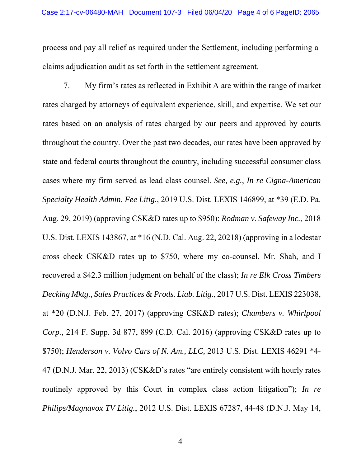process and pay all relief as required under the Settlement, including performing a claims adjudication audit as set forth in the settlement agreement.

7. My firm's rates as reflected in Exhibit A are within the range of market rates charged by attorneys of equivalent experience, skill, and expertise. We set our rates based on an analysis of rates charged by our peers and approved by courts throughout the country. Over the past two decades, our rates have been approved by state and federal courts throughout the country, including successful consumer class cases where my firm served as lead class counsel. *See, e.g.*, *In re Cigna-American Specialty Health Admin. Fee Litig.*, 2019 U.S. Dist. LEXIS 146899, at \*39 (E.D. Pa. Aug. 29, 2019) (approving CSK&D rates up to \$950); *Rodman v. Safeway Inc.*, 2018 U.S. Dist. LEXIS 143867, at \*16 (N.D. Cal. Aug. 22, 20218) (approving in a lodestar cross check CSK&D rates up to \$750, where my co-counsel, Mr. Shah, and I recovered a \$42.3 million judgment on behalf of the class); *In re Elk Cross Timbers Decking Mktg., Sales Practices & Prods. Liab. Litig.*, 2017 U.S. Dist. LEXIS 223038, at \*20 (D.N.J. Feb. 27, 2017) (approving CSK&D rates); *Chambers v. Whirlpool Corp.*, 214 F. Supp. 3d 877, 899 (C.D. Cal. 2016) (approving CSK&D rates up to \$750); *Henderson v. Volvo Cars of N. Am., LLC,* 2013 U.S. Dist. LEXIS 46291 \*4- 47 (D.N.J. Mar. 22, 2013) (CSK&D's rates "are entirely consistent with hourly rates routinely approved by this Court in complex class action litigation"); *In re Philips/Magnavox TV Litig.*, 2012 U.S. Dist. LEXIS 67287, 44-48 (D.N.J. May 14,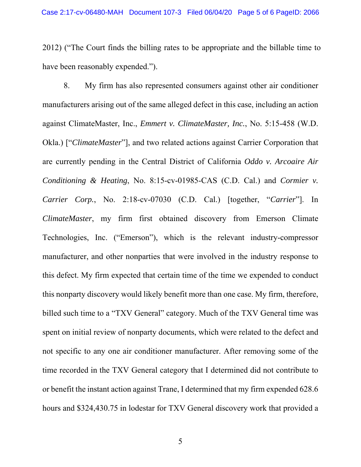2012) ("The Court finds the billing rates to be appropriate and the billable time to have been reasonably expended.").

8. My firm has also represented consumers against other air conditioner manufacturers arising out of the same alleged defect in this case, including an action against ClimateMaster, Inc., *Emmert v. ClimateMaster, Inc.*, No. 5:15-458 (W.D. Okla.) ["*ClimateMaster*"], and two related actions against Carrier Corporation that are currently pending in the Central District of California *Oddo v. Arcoaire Air Conditioning & Heating*, No. 8:15-cv-01985-CAS (C.D. Cal.) and *Cormier v. Carrier Corp.*, No. 2:18-cv-07030 (C.D. Cal.) [together, "*Carrier*"]. In *ClimateMaster*, my firm first obtained discovery from Emerson Climate Technologies, Inc. ("Emerson"), which is the relevant industry-compressor manufacturer, and other nonparties that were involved in the industry response to this defect. My firm expected that certain time of the time we expended to conduct this nonparty discovery would likely benefit more than one case. My firm, therefore, billed such time to a "TXV General" category. Much of the TXV General time was spent on initial review of nonparty documents, which were related to the defect and not specific to any one air conditioner manufacturer. After removing some of the time recorded in the TXV General category that I determined did not contribute to or benefit the instant action against Trane, I determined that my firm expended 628.6 hours and \$324,430.75 in lodestar for TXV General discovery work that provided a